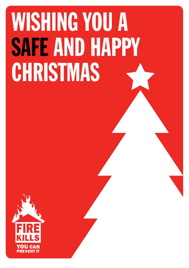## WISHING YOU A SAFE AND HAPPY CHRISTMAS

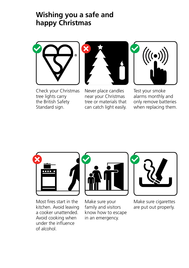## **Wishing you a safe and happy Christmas**







Never place candles near your Christmas tree or materials that can catch light easily.



Test your smoke alarms monthly and only remove batteries when replacing them.



Most fires start in the kitchen. Avoid leaving a cooker unattended. Avoid cooking when under the influence of alcohol.



Make sure your family and visitors know how to escape in an emergency.



Make sure cigarettes are put out properly.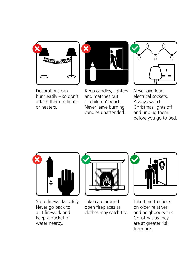



Decorations can burn easily – so don't attach them to lights or heaters.

Keep candles, lighters and matches out of children's reach. Never leave burning candles unattended.



Never overload electrical sockets. Always switch Christmas lights off and unplug them before you go to bed.



Store fireworks safely. Never go back to a lit firework and keep a bucket of water nearby.



Take care around open fireplaces as clothes may catch fire.



Take time to check on older relatives and neighbours this Christmas as they are at greater risk from fire.